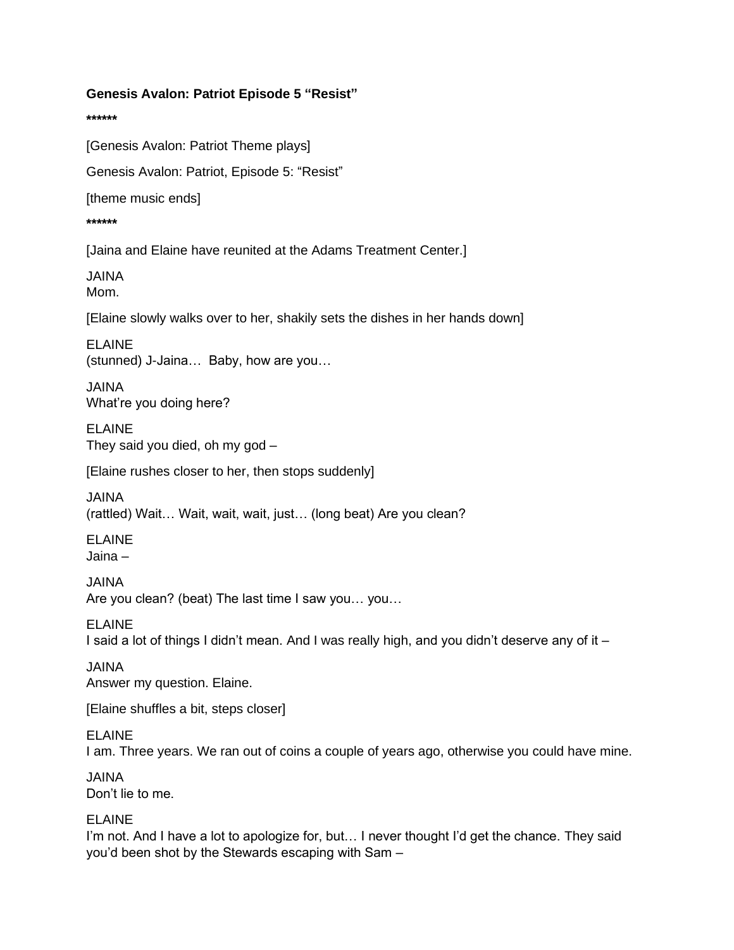#### **\*\*\*\*\*\***

[Genesis Avalon: Patriot Theme plays]

Genesis Avalon: Patriot, Episode 5: "Resist"

[theme music ends]

### **\*\*\*\*\*\***

[Jaina and Elaine have reunited at the Adams Treatment Center.]

JAINA

Mom.

[Elaine slowly walks over to her, shakily sets the dishes in her hands down]

ELAINE (stunned) J-Jaina… Baby, how are you…

JAINA What're you doing here?

ELAINE They said you died, oh my god –

[Elaine rushes closer to her, then stops suddenly]

JAINA

(rattled) Wait… Wait, wait, wait, just… (long beat) Are you clean?

ELAINE Jaina –

JAINA Are you clean? (beat) The last time I saw you… you…

ELAINE I said a lot of things I didn't mean. And I was really high, and you didn't deserve any of it –

JAINA Answer my question. Elaine.

[Elaine shuffles a bit, steps closer]

ELAINE I am. Three years. We ran out of coins a couple of years ago, otherwise you could have mine.

JAINA Don't lie to me.

ELAINE

I'm not. And I have a lot to apologize for, but… I never thought I'd get the chance. They said you'd been shot by the Stewards escaping with Sam –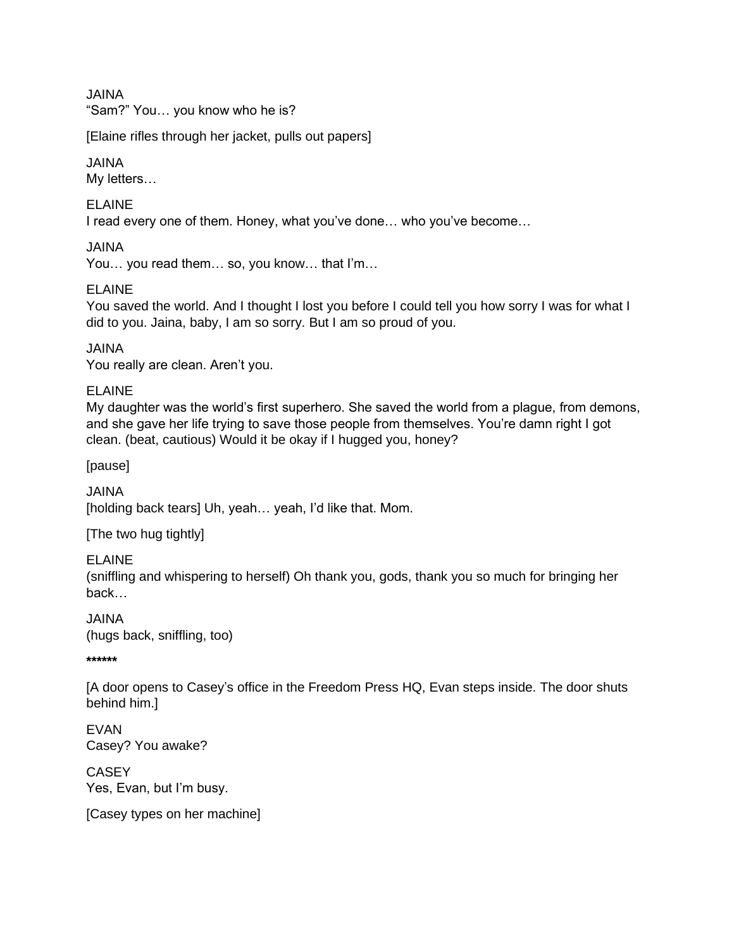JAINA

"Sam?" You… you know who he is?

[Elaine rifles through her jacket, pulls out papers]

### JAINA

My letters…

ELAINE

I read every one of them. Honey, what you've done… who you've become…

JAINA

You… you read them… so, you know… that I'm…

### ELAINE

You saved the world. And I thought I lost you before I could tell you how sorry I was for what I did to you. Jaina, baby, I am so sorry. But I am so proud of you.

JAINA

You really are clean. Aren't you.

### ELAINE

My daughter was the world's first superhero. She saved the world from a plague, from demons, and she gave her life trying to save those people from themselves. You're damn right I got clean. (beat, cautious) Would it be okay if I hugged you, honey?

[pause]

JAINA [holding back tears] Uh, yeah... yeah, I'd like that. Mom.

[The two hug tightly]

ELAINE

(sniffling and whispering to herself) Oh thank you, gods, thank you so much for bringing her back…

JAINA (hugs back, sniffling, too)

**\*\*\*\*\*\***

[A door opens to Casey's office in the Freedom Press HQ, Evan steps inside. The door shuts behind him.]

EVAN Casey? You awake?

**CASEY** Yes, Evan, but I'm busy.

[Casey types on her machine]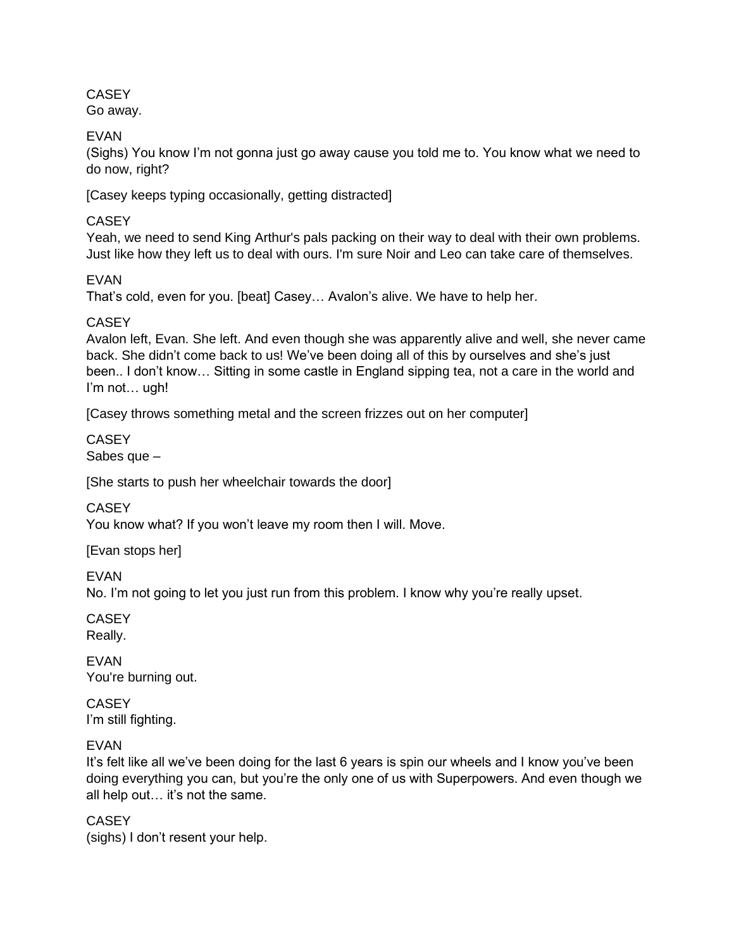**CASEY** 

Go away.

EVAN

(Sighs) You know I'm not gonna just go away cause you told me to. You know what we need to do now, right?

[Casey keeps typing occasionally, getting distracted]

# **CASEY**

Yeah, we need to send King Arthur's pals packing on their way to deal with their own problems. Just like how they left us to deal with ours. I'm sure Noir and Leo can take care of themselves.

# EVAN

That's cold, even for you. [beat] Casey… Avalon's alive. We have to help her.

# **CASEY**

Avalon left, Evan. She left. And even though she was apparently alive and well, she never came back. She didn't come back to us! We've been doing all of this by ourselves and she's just been.. I don't know… Sitting in some castle in England sipping tea, not a care in the world and I'm not… ugh!

[Casey throws something metal and the screen frizzes out on her computer]

**CASEY** Sabes que –

[She starts to push her wheelchair towards the door]

**CASEY** 

You know what? If you won't leave my room then I will. Move.

[Evan stops her]

EVAN

No. I'm not going to let you just run from this problem. I know why you're really upset.

**CASEY** Really.

EVAN You're burning out.

**CASEY** I'm still fighting.

# EVAN

It's felt like all we've been doing for the last 6 years is spin our wheels and I know you've been doing everything you can, but you're the only one of us with Superpowers. And even though we all help out… it's not the same.

**CASEY** (sighs) I don't resent your help.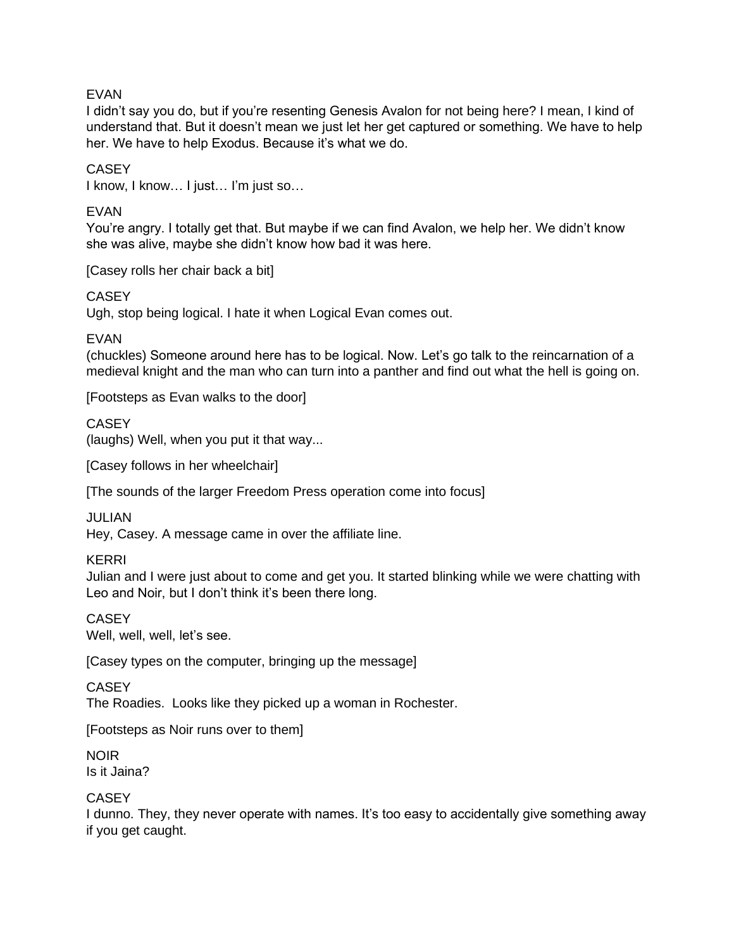## EVAN

I didn't say you do, but if you're resenting Genesis Avalon for not being here? I mean, I kind of understand that. But it doesn't mean we just let her get captured or something. We have to help her. We have to help Exodus. Because it's what we do.

**CASEY** 

I know, I know… I just… I'm just so…

### EVAN

You're angry. I totally get that. But maybe if we can find Avalon, we help her. We didn't know she was alive, maybe she didn't know how bad it was here.

[Casey rolls her chair back a bit]

**CASEY** 

Ugh, stop being logical. I hate it when Logical Evan comes out.

EVAN

(chuckles) Someone around here has to be logical. Now. Let's go talk to the reincarnation of a medieval knight and the man who can turn into a panther and find out what the hell is going on.

[Footsteps as Evan walks to the door]

**CASEY** 

(laughs) Well, when you put it that way...

[Casey follows in her wheelchair]

[The sounds of the larger Freedom Press operation come into focus]

JULIAN

Hey, Casey. A message came in over the affiliate line.

KERRI

Julian and I were just about to come and get you. It started blinking while we were chatting with Leo and Noir, but I don't think it's been there long.

**CASEY** 

Well, well, well, let's see.

[Casey types on the computer, bringing up the message]

**CASEY** 

The Roadies. Looks like they picked up a woman in Rochester.

[Footsteps as Noir runs over to them]

NOIR Is it Jaina?

**CASEY** 

I dunno. They, they never operate with names. It's too easy to accidentally give something away if you get caught.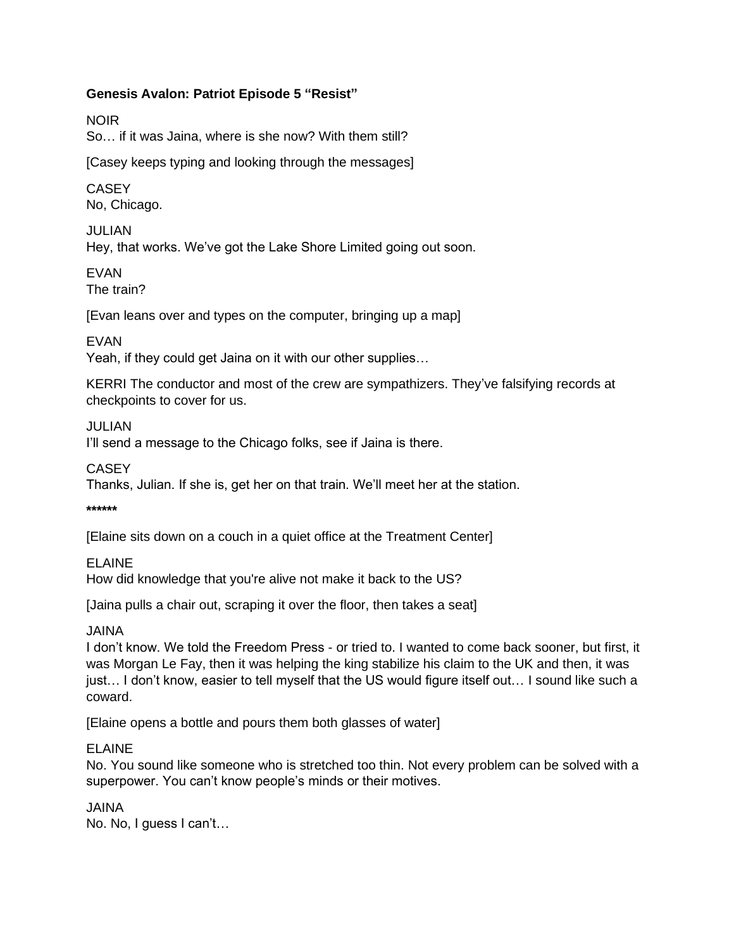NOIR

So… if it was Jaina, where is she now? With them still?

[Casey keeps typing and looking through the messages]

## **CASEY** No, Chicago.

JULIAN Hey, that works. We've got the Lake Shore Limited going out soon.

EVAN The train?

[Evan leans over and types on the computer, bringing up a map]

EVAN

Yeah, if they could get Jaina on it with our other supplies…

KERRI The conductor and most of the crew are sympathizers. They've falsifying records at checkpoints to cover for us.

## JULIAN

I'll send a message to the Chicago folks, see if Jaina is there.

**CASEY** 

Thanks, Julian. If she is, get her on that train. We'll meet her at the station.

**\*\*\*\*\*\***

[Elaine sits down on a couch in a quiet office at the Treatment Center]

## ELAINE

How did knowledge that you're alive not make it back to the US?

[Jaina pulls a chair out, scraping it over the floor, then takes a seat]

JAINA

I don't know. We told the Freedom Press - or tried to. I wanted to come back sooner, but first, it was Morgan Le Fay, then it was helping the king stabilize his claim to the UK and then, it was just… I don't know, easier to tell myself that the US would figure itself out… I sound like such a coward.

[Elaine opens a bottle and pours them both glasses of water]

## ELAINE

No. You sound like someone who is stretched too thin. Not every problem can be solved with a superpower. You can't know people's minds or their motives.

JAINA

No. No, I guess I can't…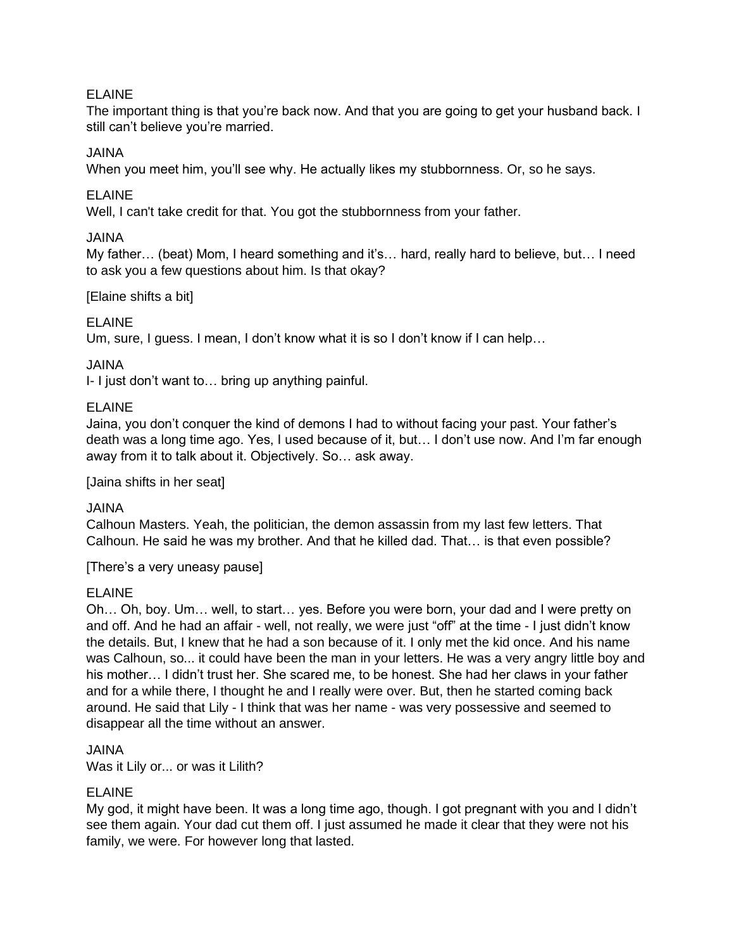## ELAINE

The important thing is that you're back now. And that you are going to get your husband back. I still can't believe you're married.

### JAINA

When you meet him, you'll see why. He actually likes my stubbornness. Or, so he says.

### ELAINE

Well, I can't take credit for that. You got the stubbornness from your father.

### JAINA

My father… (beat) Mom, I heard something and it's… hard, really hard to believe, but… I need to ask you a few questions about him. Is that okay?

### [Elaine shifts a bit]

## ELAINE

Um, sure, I guess. I mean, I don't know what it is so I don't know if I can help…

### JAINA

I- I just don't want to… bring up anything painful.

### ELAINE

Jaina, you don't conquer the kind of demons I had to without facing your past. Your father's death was a long time ago. Yes, I used because of it, but… I don't use now. And I'm far enough away from it to talk about it. Objectively. So… ask away.

[Jaina shifts in her seat]

#### JAINA

Calhoun Masters. Yeah, the politician, the demon assassin from my last few letters. That Calhoun. He said he was my brother. And that he killed dad. That… is that even possible?

[There's a very uneasy pause]

## ELAINE

Oh… Oh, boy. Um… well, to start… yes. Before you were born, your dad and I were pretty on and off. And he had an affair - well, not really, we were just "off" at the time - I just didn't know the details. But, I knew that he had a son because of it. I only met the kid once. And his name was Calhoun, so... it could have been the man in your letters. He was a very angry little boy and his mother… I didn't trust her. She scared me, to be honest. She had her claws in your father and for a while there, I thought he and I really were over. But, then he started coming back around. He said that Lily - I think that was her name - was very possessive and seemed to disappear all the time without an answer.

#### JAINA

Was it Lily or... or was it Lilith?

## ELAINE

My god, it might have been. It was a long time ago, though. I got pregnant with you and I didn't see them again. Your dad cut them off. I just assumed he made it clear that they were not his family, we were. For however long that lasted.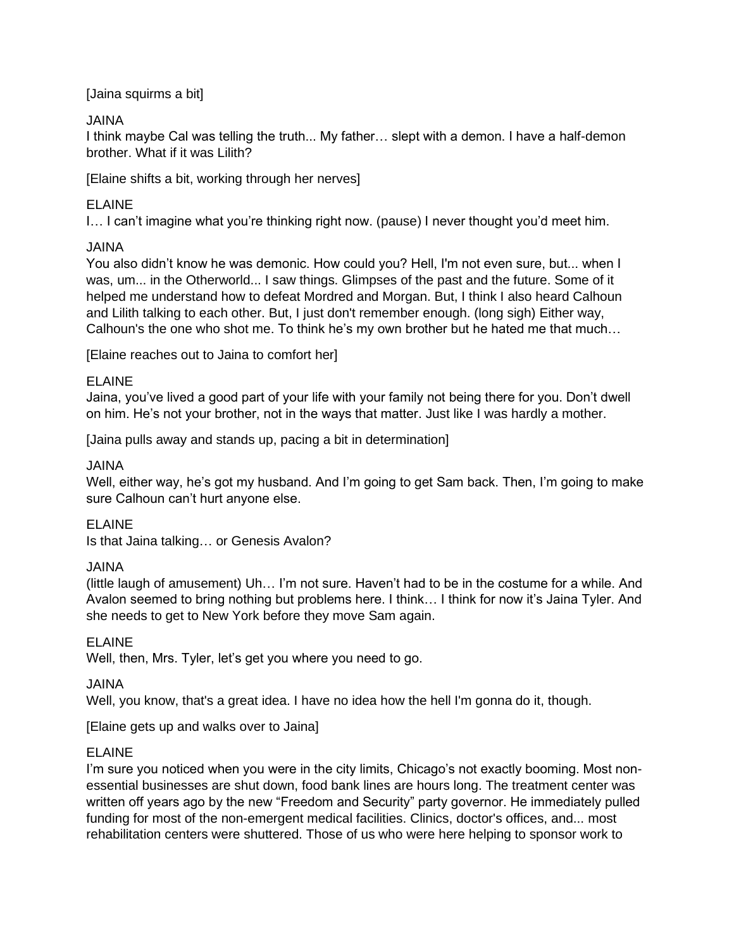## [Jaina squirms a bit]

## JAINA

I think maybe Cal was telling the truth... My father… slept with a demon. I have a half-demon brother. What if it was Lilith?

[Elaine shifts a bit, working through her nerves]

## ELAINE

I… I can't imagine what you're thinking right now. (pause) I never thought you'd meet him.

## JAINA

You also didn't know he was demonic. How could you? Hell, I'm not even sure, but... when I was, um... in the Otherworld... I saw things. Glimpses of the past and the future. Some of it helped me understand how to defeat Mordred and Morgan. But, I think I also heard Calhoun and Lilith talking to each other. But, I just don't remember enough. (long sigh) Either way, Calhoun's the one who shot me. To think he's my own brother but he hated me that much…

[Elaine reaches out to Jaina to comfort her]

## ELAINE

Jaina, you've lived a good part of your life with your family not being there for you. Don't dwell on him. He's not your brother, not in the ways that matter. Just like I was hardly a mother.

[Jaina pulls away and stands up, pacing a bit in determination]

## JAINA

Well, either way, he's got my husband. And I'm going to get Sam back. Then, I'm going to make sure Calhoun can't hurt anyone else.

# ELAINE

Is that Jaina talking… or Genesis Avalon?

# JAINA

(little laugh of amusement) Uh… I'm not sure. Haven't had to be in the costume for a while. And Avalon seemed to bring nothing but problems here. I think… I think for now it's Jaina Tyler. And she needs to get to New York before they move Sam again.

## ELAINE

Well, then, Mrs. Tyler, let's get you where you need to go.

## JAINA

Well, you know, that's a great idea. I have no idea how the hell I'm gonna do it, though.

[Elaine gets up and walks over to Jaina]

# ELAINE

I'm sure you noticed when you were in the city limits, Chicago's not exactly booming. Most nonessential businesses are shut down, food bank lines are hours long. The treatment center was written off years ago by the new "Freedom and Security" party governor. He immediately pulled funding for most of the non-emergent medical facilities. Clinics, doctor's offices, and... most rehabilitation centers were shuttered. Those of us who were here helping to sponsor work to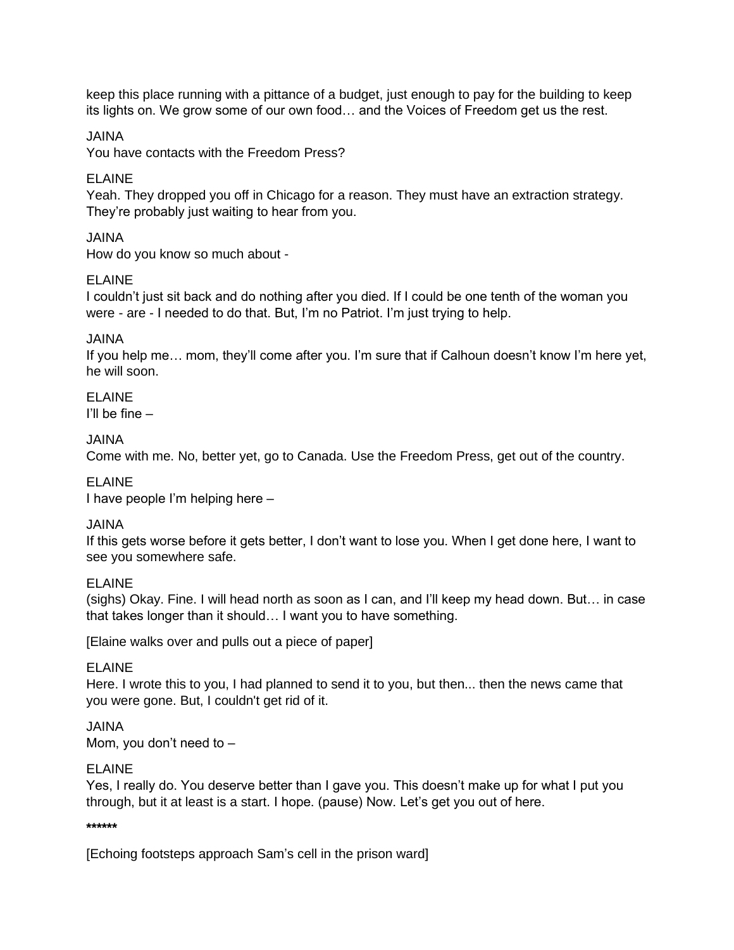keep this place running with a pittance of a budget, just enough to pay for the building to keep its lights on. We grow some of our own food… and the Voices of Freedom get us the rest.

JAINA

You have contacts with the Freedom Press?

## ELAINE

Yeah. They dropped you off in Chicago for a reason. They must have an extraction strategy. They're probably just waiting to hear from you.

## JAINA

How do you know so much about -

## ELAINE

I couldn't just sit back and do nothing after you died. If I could be one tenth of the woman you were - are - I needed to do that. But, I'm no Patriot. I'm just trying to help.

JAINA

If you help me… mom, they'll come after you. I'm sure that if Calhoun doesn't know I'm here yet, he will soon.

ELAINE I'll be fine –

## JAINA

Come with me. No, better yet, go to Canada. Use the Freedom Press, get out of the country.

ELAINE

I have people I'm helping here –

## JAINA

If this gets worse before it gets better, I don't want to lose you. When I get done here, I want to see you somewhere safe.

## ELAINE

(sighs) Okay. Fine. I will head north as soon as I can, and I'll keep my head down. But… in case that takes longer than it should… I want you to have something.

[Elaine walks over and pulls out a piece of paper]

ELAINE

Here. I wrote this to you, I had planned to send it to you, but then... then the news came that you were gone. But, I couldn't get rid of it.

JAINA

Mom, you don't need to –

## ELAINE

Yes, I really do. You deserve better than I gave you. This doesn't make up for what I put you through, but it at least is a start. I hope. (pause) Now. Let's get you out of here.

**\*\*\*\*\*\***

[Echoing footsteps approach Sam's cell in the prison ward]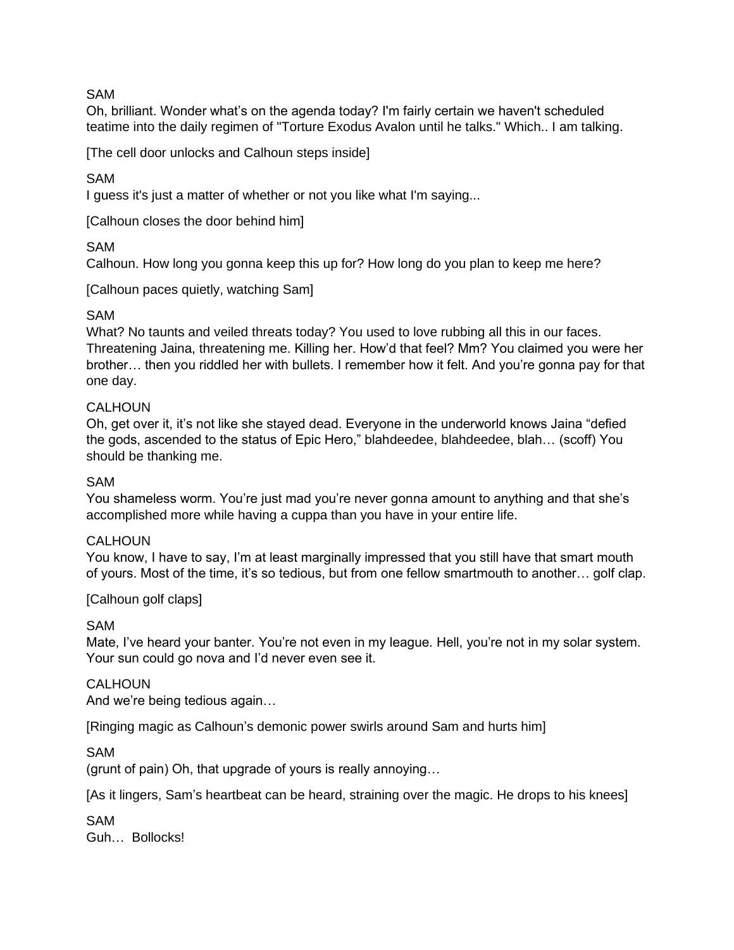### SAM

Oh, brilliant. Wonder what's on the agenda today? I'm fairly certain we haven't scheduled teatime into the daily regimen of "Torture Exodus Avalon until he talks." Which.. I am talking.

[The cell door unlocks and Calhoun steps inside]

SAM

I guess it's just a matter of whether or not you like what I'm saying...

[Calhoun closes the door behind him]

SAM

Calhoun. How long you gonna keep this up for? How long do you plan to keep me here?

[Calhoun paces quietly, watching Sam]

### SAM

What? No taunts and veiled threats today? You used to love rubbing all this in our faces. Threatening Jaina, threatening me. Killing her. How'd that feel? Mm? You claimed you were her brother… then you riddled her with bullets. I remember how it felt. And you're gonna pay for that one day.

### **CALHOUN**

Oh, get over it, it's not like she stayed dead. Everyone in the underworld knows Jaina "defied the gods, ascended to the status of Epic Hero," blahdeedee, blahdeedee, blah... (scoff) You should be thanking me.

#### SAM

You shameless worm. You're just mad you're never gonna amount to anything and that she's accomplished more while having a cuppa than you have in your entire life.

#### CALHOUN

You know, I have to say, I'm at least marginally impressed that you still have that smart mouth of yours. Most of the time, it's so tedious, but from one fellow smartmouth to another… golf clap.

#### [Calhoun golf claps]

SAM

Mate, I've heard your banter. You're not even in my league. Hell, you're not in my solar system. Your sun could go nova and I'd never even see it.

#### CALHOUN

And we're being tedious again…

[Ringing magic as Calhoun's demonic power swirls around Sam and hurts him]

SAM

(grunt of pain) Oh, that upgrade of yours is really annoying…

[As it lingers, Sam's heartbeat can be heard, straining over the magic. He drops to his knees]

SAM Guh… Bollocks!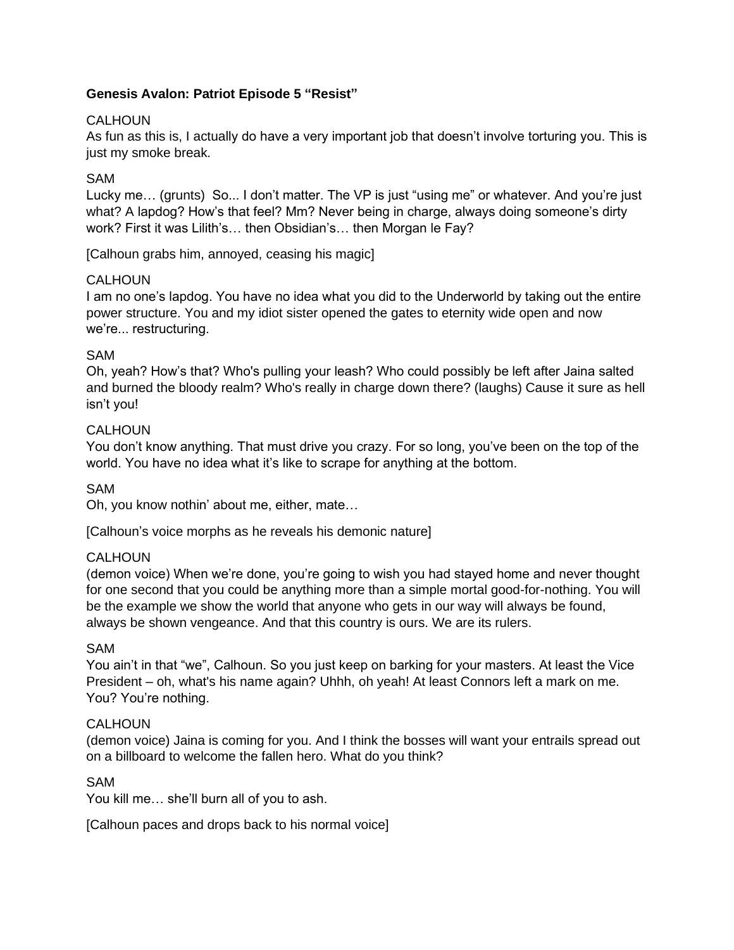## CALHOUN

As fun as this is, I actually do have a very important job that doesn't involve torturing you. This is just my smoke break.

## SAM

Lucky me… (grunts) So... I don't matter. The VP is just "using me" or whatever. And you're just what? A lapdog? How's that feel? Mm? Never being in charge, always doing someone's dirty work? First it was Lilith's… then Obsidian's… then Morgan le Fay?

[Calhoun grabs him, annoyed, ceasing his magic]

## CALHOUN.

I am no one's lapdog. You have no idea what you did to the Underworld by taking out the entire power structure. You and my idiot sister opened the gates to eternity wide open and now we're... restructuring.

## SAM

Oh, yeah? How's that? Who's pulling your leash? Who could possibly be left after Jaina salted and burned the bloody realm? Who's really in charge down there? (laughs) Cause it sure as hell isn't you!

## **CALHOUN**

You don't know anything. That must drive you crazy. For so long, you've been on the top of the world. You have no idea what it's like to scrape for anything at the bottom.

## SAM

Oh, you know nothin' about me, either, mate…

[Calhoun's voice morphs as he reveals his demonic nature]

#### **CALHOUN**

(demon voice) When we're done, you're going to wish you had stayed home and never thought for one second that you could be anything more than a simple mortal good-for-nothing. You will be the example we show the world that anyone who gets in our way will always be found, always be shown vengeance. And that this country is ours. We are its rulers.

#### SAM

You ain't in that "we", Calhoun. So you just keep on barking for your masters. At least the Vice President – oh, what's his name again? Uhhh, oh yeah! At least Connors left a mark on me. You? You're nothing.

#### CALHOUN

(demon voice) Jaina is coming for you. And I think the bosses will want your entrails spread out on a billboard to welcome the fallen hero. What do you think?

#### SAM

You kill me… she'll burn all of you to ash.

[Calhoun paces and drops back to his normal voice]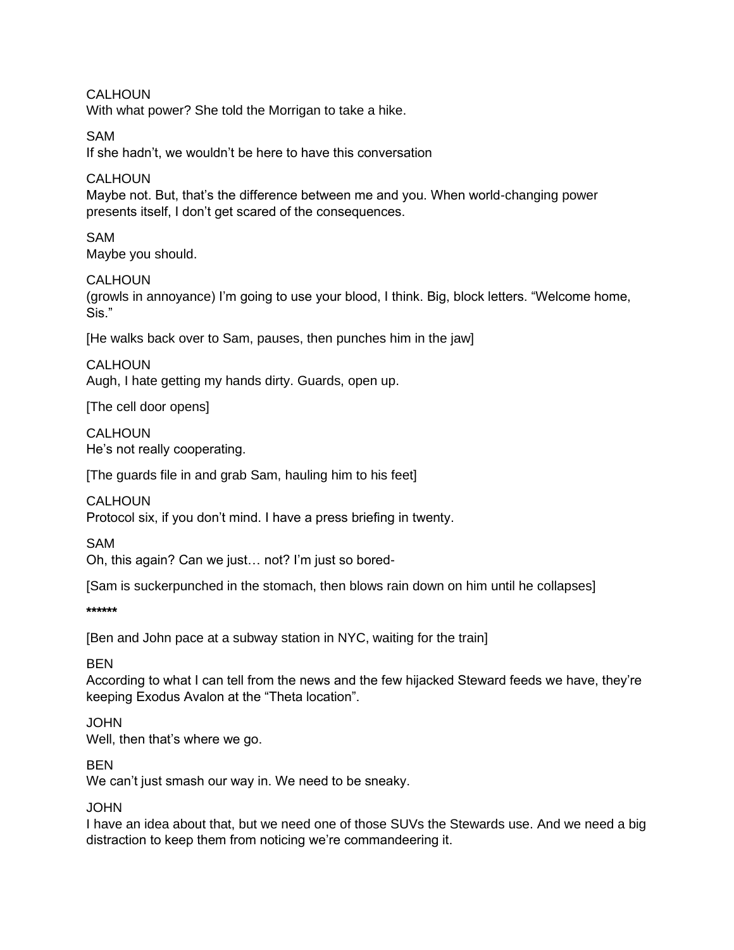CALHOUN With what power? She told the Morrigan to take a hike.

# SAM

If she hadn't, we wouldn't be here to have this conversation

## **CALHOUN**

Maybe not. But, that's the difference between me and you. When world-changing power presents itself, I don't get scared of the consequences.

SAM Maybe you should.

## CALHOUN.

(growls in annoyance) I'm going to use your blood, I think. Big, block letters. "Welcome home, Sis."

[He walks back over to Sam, pauses, then punches him in the jaw]

**CALHOUN** Augh, I hate getting my hands dirty. Guards, open up.

[The cell door opens]

**CALHOUN** He's not really cooperating.

[The guards file in and grab Sam, hauling him to his feet]

CALHOUN

Protocol six, if you don't mind. I have a press briefing in twenty.

SAM

Oh, this again? Can we just… not? I'm just so bored-

[Sam is suckerpunched in the stomach, then blows rain down on him until he collapses]

**\*\*\*\*\*\***

[Ben and John pace at a subway station in NYC, waiting for the train]

**BFN** 

According to what I can tell from the news and the few hijacked Steward feeds we have, they're keeping Exodus Avalon at the "Theta location".

## **JOHN**

Well, then that's where we go.

## BEN

We can't just smash our way in. We need to be sneaky.

## **JOHN**

I have an idea about that, but we need one of those SUVs the Stewards use. And we need a big distraction to keep them from noticing we're commandeering it.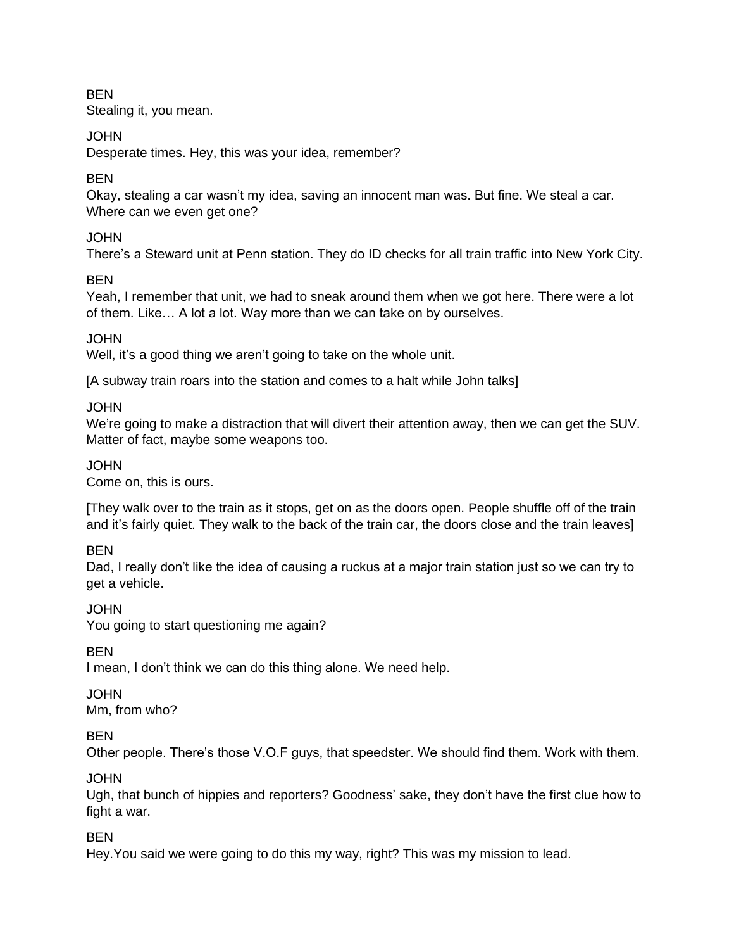**BEN** Stealing it, you mean.

# JOHN

Desperate times. Hey, this was your idea, remember?

# BEN

Okay, stealing a car wasn't my idea, saving an innocent man was. But fine. We steal a car. Where can we even get one?

# JOHN

There's a Steward unit at Penn station. They do ID checks for all train traffic into New York City.

# **BFN**

Yeah, I remember that unit, we had to sneak around them when we got here. There were a lot of them. Like… A lot a lot. Way more than we can take on by ourselves.

# **JOHN**

Well, it's a good thing we aren't going to take on the whole unit.

[A subway train roars into the station and comes to a halt while John talks]

JOHN

We're going to make a distraction that will divert their attention away, then we can get the SUV. Matter of fact, maybe some weapons too.

## JOHN

Come on, this is ours.

[They walk over to the train as it stops, get on as the doors open. People shuffle off of the train and it's fairly quiet. They walk to the back of the train car, the doors close and the train leaves]

# BEN

Dad, I really don't like the idea of causing a ruckus at a major train station just so we can try to get a vehicle.

JOHN

You going to start questioning me again?

BEN

I mean, I don't think we can do this thing alone. We need help.

# **JOHN**

Mm, from who?

# BEN

Other people. There's those V.O.F guys, that speedster. We should find them. Work with them.

JOHN

Ugh, that bunch of hippies and reporters? Goodness' sake, they don't have the first clue how to fight a war.

**BEN** 

Hey.You said we were going to do this my way, right? This was my mission to lead.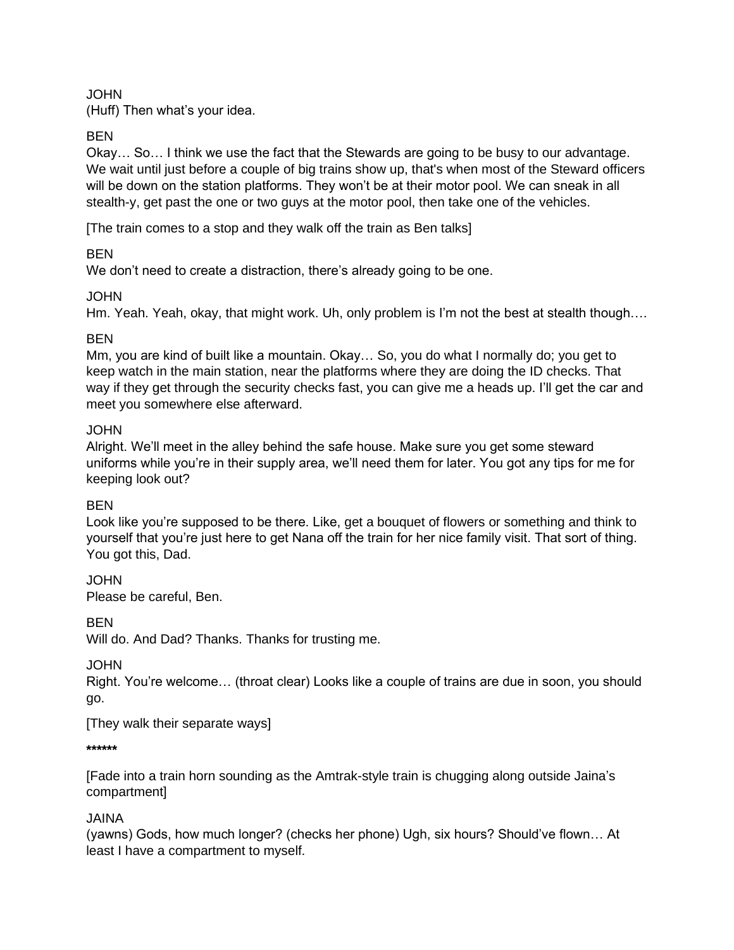## JOHN

(Huff) Then what's your idea.

BEN

Okay… So… I think we use the fact that the Stewards are going to be busy to our advantage. We wait until just before a couple of big trains show up, that's when most of the Steward officers will be down on the station platforms. They won't be at their motor pool. We can sneak in all stealth-y, get past the one or two guys at the motor pool, then take one of the vehicles.

[The train comes to a stop and they walk off the train as Ben talks]

# BEN

We don't need to create a distraction, there's already going to be one.

# JOHN

Hm. Yeah. Yeah, okay, that might work. Uh, only problem is I'm not the best at stealth though….

# BEN

Mm, you are kind of built like a mountain. Okay… So, you do what I normally do; you get to keep watch in the main station, near the platforms where they are doing the ID checks. That way if they get through the security checks fast, you can give me a heads up. I'll get the car and meet you somewhere else afterward.

## **JOHN**

Alright. We'll meet in the alley behind the safe house. Make sure you get some steward uniforms while you're in their supply area, we'll need them for later. You got any tips for me for keeping look out?

# BEN

Look like you're supposed to be there. Like, get a bouquet of flowers or something and think to yourself that you're just here to get Nana off the train for her nice family visit. That sort of thing. You got this, Dad.

JOHN Please be careful, Ben.

**BFN** 

Will do. And Dad? Thanks. Thanks for trusting me.

JOHN

Right. You're welcome… (throat clear) Looks like a couple of trains are due in soon, you should go.

[They walk their separate ways]

**\*\*\*\*\*\***

[Fade into a train horn sounding as the Amtrak-style train is chugging along outside Jaina's compartment]

# JAINA

(yawns) Gods, how much longer? (checks her phone) Ugh, six hours? Should've flown… At least I have a compartment to myself.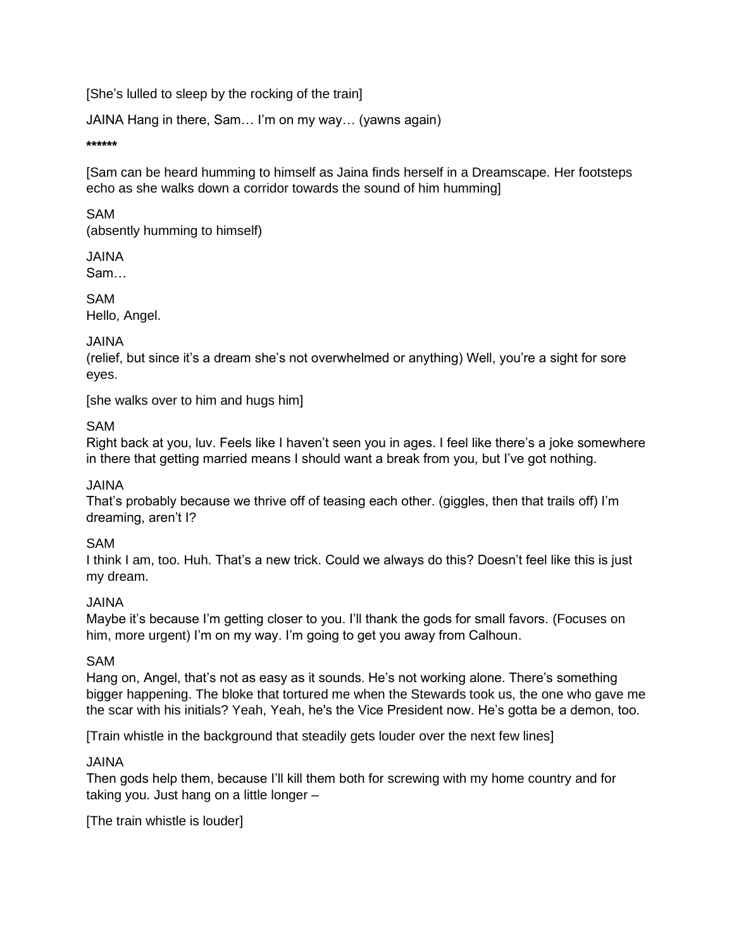[She's lulled to sleep by the rocking of the train]

JAINA Hang in there, Sam… I'm on my way… (yawns again)

**\*\*\*\*\*\***

[Sam can be heard humming to himself as Jaina finds herself in a Dreamscape. Her footsteps echo as she walks down a corridor towards the sound of him humming]

SAM

(absently humming to himself)

JAINA

Sam…

SAM Hello, Angel.

# JAINA

(relief, but since it's a dream she's not overwhelmed or anything) Well, you're a sight for sore eyes.

[she walks over to him and hugs him]

# SAM

Right back at you, luv. Feels like I haven't seen you in ages. I feel like there's a joke somewhere in there that getting married means I should want a break from you, but I've got nothing.

# JAINA

That's probably because we thrive off of teasing each other. (giggles, then that trails off) I'm dreaming, aren't I?

# SAM

I think I am, too. Huh. That's a new trick. Could we always do this? Doesn't feel like this is just my dream.

# JAINA

Maybe it's because I'm getting closer to you. I'll thank the gods for small favors. (Focuses on him, more urgent) I'm on my way. I'm going to get you away from Calhoun.

# SAM

Hang on, Angel, that's not as easy as it sounds. He's not working alone. There's something bigger happening. The bloke that tortured me when the Stewards took us, the one who gave me the scar with his initials? Yeah, Yeah, he's the Vice President now. He's gotta be a demon, too.

[Train whistle in the background that steadily gets louder over the next few lines]

# JAINA

Then gods help them, because I'll kill them both for screwing with my home country and for taking you. Just hang on a little longer –

[The train whistle is louder]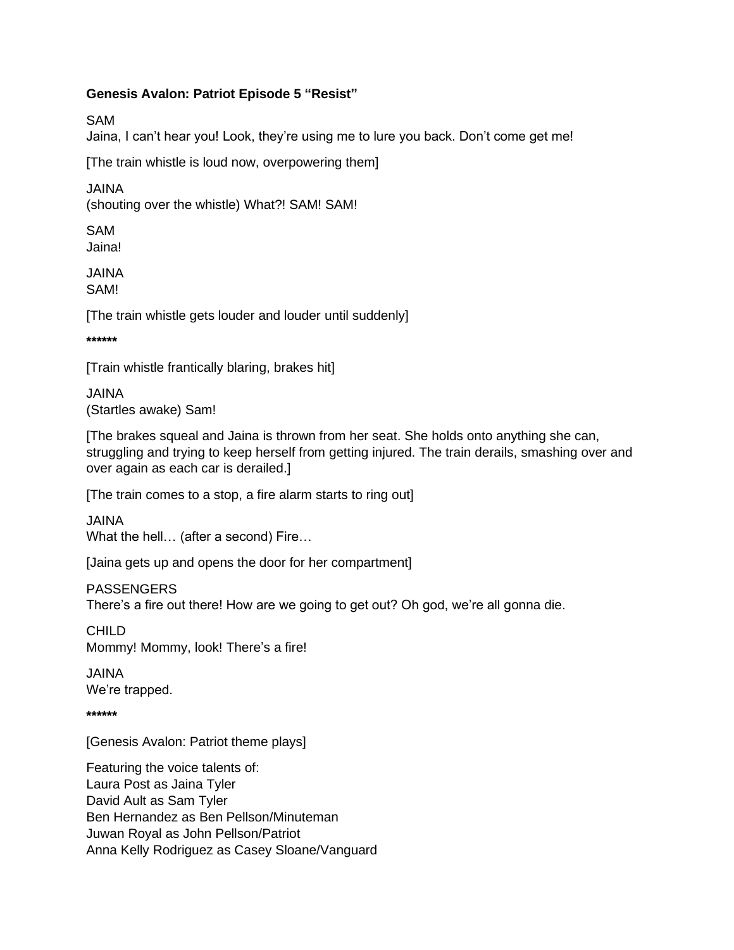SAM

Jaina, I can't hear you! Look, they're using me to lure you back. Don't come get me!

[The train whistle is loud now, overpowering them]

JAINA

(shouting over the whistle) What?! SAM! SAM!

SAM Jaina!

JAINA SAM!

[The train whistle gets louder and louder until suddenly]

**\*\*\*\*\*\***

[Train whistle frantically blaring, brakes hit]

JAINA (Startles awake) Sam!

[The brakes squeal and Jaina is thrown from her seat. She holds onto anything she can, struggling and trying to keep herself from getting injured. The train derails, smashing over and over again as each car is derailed.]

[The train comes to a stop, a fire alarm starts to ring out]

JAINA What the hell… (after a second) Fire…

[Jaina gets up and opens the door for her compartment]

PASSENGERS

There's a fire out there! How are we going to get out? Oh god, we're all gonna die.

CHILD Mommy! Mommy, look! There's a fire!

JAINA We're trapped.

**\*\*\*\*\*\***

[Genesis Avalon: Patriot theme plays]

Featuring the voice talents of: Laura Post as Jaina Tyler David Ault as Sam Tyler Ben Hernandez as Ben Pellson/Minuteman Juwan Royal as John Pellson/Patriot Anna Kelly Rodriguez as Casey Sloane/Vanguard